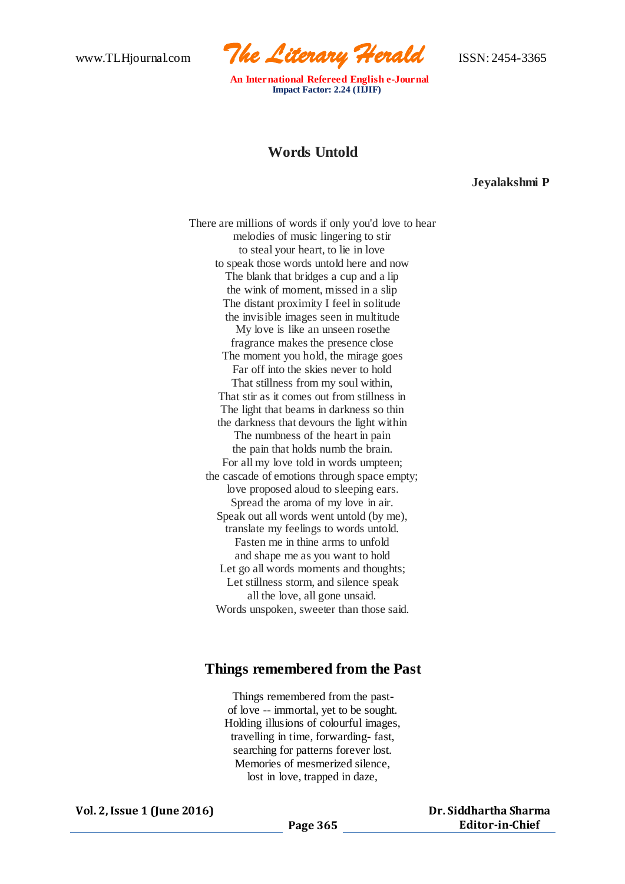

 **An International Refereed English e-Journal Impact Factor: 2.24 (IIJIF)**

## **Words Untold**

**Jeyalakshmi P**

There are millions of words if only you'd love to hear melodies of music lingering to stir to steal your heart, to lie in love to speak those words untold here and now The blank that bridges a cup and a lip the wink of moment, missed in a slip The distant proximity I feel in solitude the invisible images seen in multitude My love is like an unseen rosethe fragrance makes the presence close The moment you hold, the mirage goes Far off into the skies never to hold That stillness from my soul within, That stir as it comes out from stillness in The light that beams in darkness so thin the darkness that devours the light within The numbness of the heart in pain the pain that holds numb the brain. For all my love told in words umpteen; the cascade of emotions through space empty; love proposed aloud to sleeping ears. Spread the aroma of my love in air. Speak out all words went untold (by me), translate my feelings to words untold. Fasten me in thine arms to unfold and shape me as you want to hold Let go all words moments and thoughts; Let stillness storm, and silence speak all the love, all gone unsaid. Words unspoken, sweeter than those said.

## **Things remembered from the Past**

Things remembered from the pastof love -- immortal, yet to be sought. Holding illusions of colourful images, travelling in time, forwarding- fast, searching for patterns forever lost. Memories of mesmerized silence, lost in love, trapped in daze,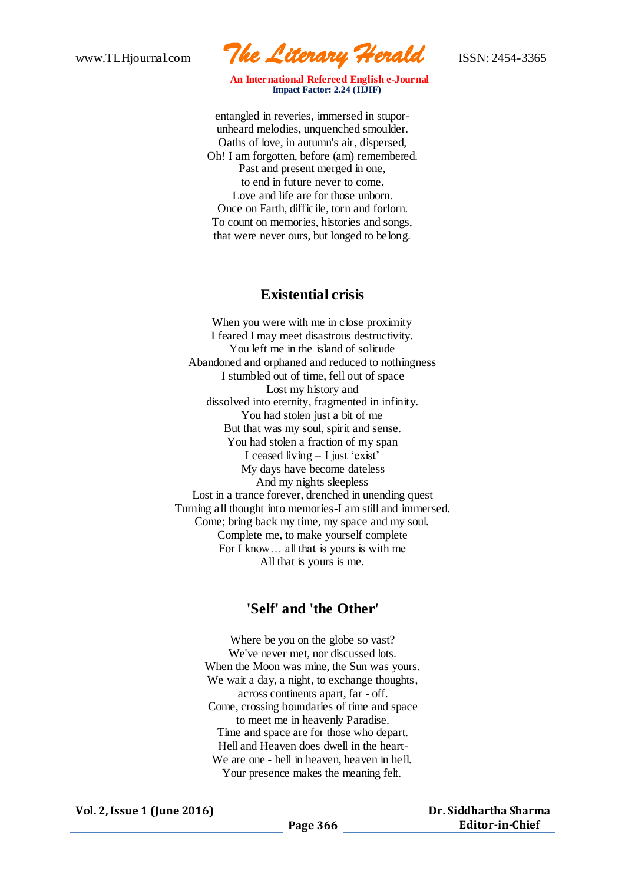www.TLHjournal.com *The Literary Herald*ISSN: 2454-3365

 **An International Refereed English e-Journal Impact Factor: 2.24 (IIJIF)**

entangled in reveries, immersed in stuporunheard melodies, unquenched smoulder. Oaths of love, in autumn's air, dispersed, Oh! I am forgotten, before (am) remembered. Past and present merged in one, to end in future never to come. Love and life are for those unborn. Once on Earth, difficile, torn and forlorn. To count on memories, histories and songs, that were never ours, but longed to belong.

## **Existential crisis**

When you were with me in close proximity I feared I may meet disastrous destructivity. You left me in the island of solitude Abandoned and orphaned and reduced to nothingness I stumbled out of time, fell out of space Lost my history and dissolved into eternity, fragmented in infinity. You had stolen just a bit of me But that was my soul, spirit and sense. You had stolen a fraction of my span I ceased living – I just 'exist' My days have become dateless And my nights sleepless Lost in a trance forever, drenched in unending quest Turning all thought into memories-I am still and immersed. Come; bring back my time, my space and my soul. Complete me, to make yourself complete For I know… all that is yours is with me All that is yours is me.

## **'Self' and 'the Other'**

Where be you on the globe so vast? We've never met, nor discussed lots. When the Moon was mine, the Sun was yours. We wait a day, a night, to exchange thoughts, across continents apart, far - off. Come, crossing boundaries of time and space to meet me in heavenly Paradise. Time and space are for those who depart. Hell and Heaven does dwell in the heart-We are one - hell in heaven, heaven in hell. Your presence makes the meaning felt.

**Vol. 2, Issue 1 (June 2016)**

**Dr. Siddhartha Sharma Editor-in-Chief**